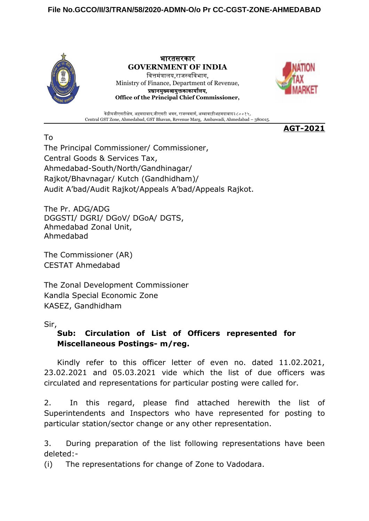## **File No.GCCO/II/3/TRAN/58/2020-ADMN-O/o Pr CC-CGST-ZONE-AHMEDABAD**



भारतसरकार **GOVERNMENT OF INDIA** वित्तमंत्रालय,राजस्वविभाग, Ministry of Finance, Department of Revenue, प्रधानमुख्यआयुक्तकाकार्यालय, **Office of the Principal Chief Commissioner,**



**AGT-2021**

केंद्रीयजीएसटीक्षेत्र, अहमदाबाद,जीएसटी भवन, राजस्वमार्ग, अम्बावाड़ीअहमदाबाद३८००१५. Central GST Zone, Ahmedabad, GST Bhavan, Revenue Marg, Ambawadi, Ahmedabad – 380015.

To The Principal Commissioner/ Commissioner, Central Goods & Services Tax, Ahmedabad-South/North/Gandhinagar/ Rajkot/Bhavnagar/ Kutch (Gandhidham)/ Audit A'bad/Audit Rajkot/Appeals A'bad/Appeals Rajkot.

The Pr. ADG/ADG DGGSTI/ DGRI/ DGoV/ DGoA/ DGTS, Ahmedabad Zonal Unit, Ahmedabad

The Commissioner (AR) CESTAT Ahmedabad

The Zonal Development Commissioner Kandla Special Economic Zone KASEZ, Gandhidham

Sir,

## **Sub: Circulation of List of Officers represented for Miscellaneous Postings- m/reg.**

Kindly refer to this officer letter of even no. dated 11.02.2021, 23.02.2021 and 05.03.2021 vide which the list of due officers was circulated and representations for particular posting were called for.

2. In this regard, please find attached herewith the list of Superintendents and Inspectors who have represented for posting to particular station/sector change or any other representation.

3. During preparation of the list following representations have been deleted:-

(i) The representations for change of Zone to Vadodara.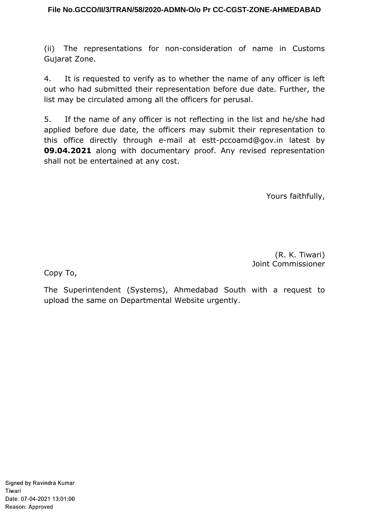## **File No.GCCO/II/3/TRAN/58/2020-ADMN-O/o Pr CC-CGST-ZONE-AHMEDABAD**

(ii) The representations for non-consideration of name in Customs Gujarat Zone.

4. It is requested to verify as to whether the name of any officer is left out who had submitted their representation before due date. Further, the list may be circulated among all the officers for perusal.

5. If the name of any officer is not reflecting in the list and he/she had applied before due date, the officers may submit their representation to this office directly through e-mail at estt-pccoamd@gov.in latest by **09.04.2021** along with documentary proof. Any revised representation shall not be entertained at any cost.

Yours faithfully,

(R. K. Tiwari) Joint Commissioner

Copy To,

The Superintendent (Systems), Ahmedabad South with a request to upload the same on Departmental Website urgently.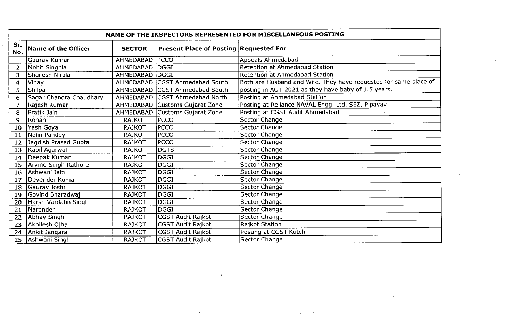|                | NAME OF THE INSPECTORS REPRESENTED FOR MISCELLANEOUS POSTING |                  |                                               |                                                                  |  |
|----------------|--------------------------------------------------------------|------------------|-----------------------------------------------|------------------------------------------------------------------|--|
| Sr.<br>No.     | Name of the Officer                                          | <b>SECTOR</b>    | <b>Present Place of Posting Requested For</b> |                                                                  |  |
| $\mathbf{1}$   | Gaurav Kumar                                                 | AHMEDABAD        | <b>PCCO</b>                                   | Appeals Ahmedabad                                                |  |
| 2 <sup>1</sup> | Mohit Singhla                                                | AHMEDABAD        | DGGI                                          | <b>Retention at Ahmedabad Station</b>                            |  |
| 3              | Shailesh Nirala                                              | AHMEDABAD        | DGGI                                          | <b>Retention at Ahmedabad Station</b>                            |  |
| $\overline{4}$ | Vinay                                                        |                  | AHMEDABAD   CGST Ahmedabad South              | Both are Husband and Wife. They have requested for same place of |  |
| 5              | <b>Shilpa</b>                                                | AHMEDABAD        | <b>ICGST Ahmedabad South</b>                  | posting in AGT-2021 as they have baby of 1.5 years.              |  |
| 6              | Sagar Chandra Chaudhary                                      | <b>AHMEDABAD</b> | <b>ICGST Ahmedabad North</b>                  | Posting at Ahmedabad Station                                     |  |
| $\overline{7}$ | Rajesh Kumar                                                 | <b>AHMEDABAD</b> | Customs Gujarat Zone                          | Posting at Reliance NAVAL Engg. Ltd. SEZ, Pipavav                |  |
| 8              | Pratik Jain                                                  | AHMEDABAD        | Customs Gujarat Zone                          | Posting at CGST Audit Ahmedabad                                  |  |
| 9              | Rohan                                                        | <b>RAJKOT</b>    | PCCO                                          | Sector Change                                                    |  |
| 10             | Yash Goyal                                                   | <b>RAJKOT</b>    | PCCO                                          | Sector Change                                                    |  |
| 11             | Nalin Pandey                                                 | <b>RAJKOT</b>    | PCCO                                          | Sector Change                                                    |  |
| 12             | Jagdish Prasad Gupta                                         | <b>RAJKOT</b>    | PCCO                                          | Sector Change                                                    |  |
| 13             | Kapil Agarwal                                                | <b>RAJKOT</b>    | <b>DGTS</b>                                   | Sector Change                                                    |  |
| 14             | Deepak Kumar                                                 | <b>RAJKOT</b>    | DGGI                                          | Sector Change                                                    |  |
| 15             | Arvind Singh Rathore                                         | <b>RAJKOT</b>    | <b>DGGI</b>                                   | Sector Change                                                    |  |
| 16             | Ashwani Jain                                                 | <b>RAJKOT</b>    | DGGI                                          | Sector Change                                                    |  |
| 17             | Devender Kumar                                               | <b>RAJKOT</b>    | <b>DGGI</b>                                   | Sector Change                                                    |  |
| 18             | Gaurav Joshi                                                 | <b>RAJKOT</b>    | $\overline{\mathsf{DGGI}}$                    | Sector Change                                                    |  |
| 19             | Govind Bharadwaj                                             | <b>RAJKOT</b>    | <b>DGGI</b>                                   | Sector Change                                                    |  |
| 20             | Harsh Vardahn Singh                                          | <b>RAJKOT</b>    | DGGI                                          | Sector Change                                                    |  |
| 21             | Narender                                                     | <b>RAJKOT</b>    | lDGGI                                         | Sector Change                                                    |  |
| 22             | Abhay Singh                                                  | <b>RAJKOT</b>    | CGST Audit Rajkot                             | Sector Change                                                    |  |
| 23             | Akhilesh Ojha                                                | <b>RAJKOT</b>    | CGST Audit Rajkot                             | Rajkot Station                                                   |  |
| 24             | Ankit Jangara                                                | <b>RAJKOT</b>    | CGST Audit Rajkot                             | Posting at CGST Kutch                                            |  |
| 25             | Ashwani Singh                                                | <b>RAJKOT</b>    | CGST Audit Rajkot                             | Sector Change                                                    |  |

 $\mathcal{L}^{\mathcal{L}}(\mathbf{X})$  . The  $\mathcal{L}^{\mathcal{L}}(\mathbf{X})$ 

 $\mathcal{L}^{\mathcal{L}}(\mathcal{L}^{\mathcal{L}}(\mathcal{L}^{\mathcal{L}}(\mathcal{L}^{\mathcal{L}}(\mathcal{L}^{\mathcal{L}}(\mathcal{L}^{\mathcal{L}}(\mathcal{L}^{\mathcal{L}}(\mathcal{L}^{\mathcal{L}}(\mathcal{L}^{\mathcal{L}}(\mathcal{L}^{\mathcal{L}}(\mathcal{L}^{\mathcal{L}}(\mathcal{L}^{\mathcal{L}}(\mathcal{L}^{\mathcal{L}}(\mathcal{L}^{\mathcal{L}}(\mathcal{L}^{\mathcal{L}}(\mathcal{L}^{\mathcal{L}}(\mathcal{L}^{\mathcal{L$ 

 $\sim 10$ 

 $\sim 10^6$ 

 $\sim$ 

 $\sim 10^{11}$ 

 $\mathcal{L}(\mathcal{L}^{\mathcal{L}})$  and  $\mathcal{L}^{\mathcal{L}}$  are  $\mathcal{L}^{\mathcal{L}}$  . In the  $\mathcal{L}^{\mathcal{L}}$ 

 $\sim 100$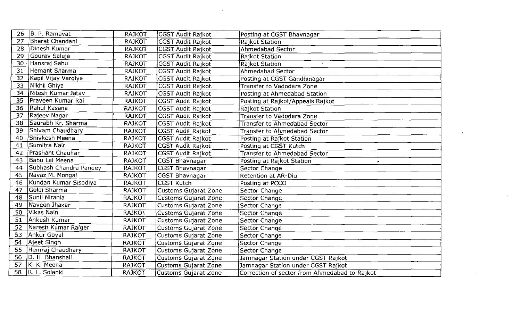| 26 | B. P. Ramavat          | <b>RAJKOT</b> | CGST Audit Rajkot           | Posting at CGST Bhavnagar                     |
|----|------------------------|---------------|-----------------------------|-----------------------------------------------|
| 27 | <b>Bharat Chandani</b> | <b>RAJKOT</b> | CGST Audit Rajkot           | Rajkot Station                                |
| 28 | Dinesh Kumar           | <b>RAJKOT</b> | <b>CGST Audit Rajkot</b>    | Ahmedabad Sector                              |
| 29 | Gourav Saluja          | <b>RAJKOT</b> | CGST Audit Rajkot           | Rajkot Station                                |
| 30 | Hansraj Sahu           | <b>RAJKOT</b> | CGST Audit Rajkot           | Rajkot Station                                |
| 31 | Hemant Sharma          | <b>RAJKOT</b> | CGST Audit Rajkot           | Ahmedabad Sector                              |
| 32 | Kapil Vijay Vargiya    | <b>RAJKOT</b> | CGST Audit Rajkot           | Posting at CGST Gandhinagar                   |
| 33 | Nikhil Ghiya           | <b>RAJKOT</b> | CGST Audit Rajkot           | Transfer to Vadodara Zone                     |
| 34 | Nitesh Kumar Jatav     | <b>RAJKOT</b> | CGST Audit Rajkot           | Posting at Ahmedabad Station                  |
| 35 | Praveen Kumar Rai      | <b>RAJKOT</b> | CGST Audit Rajkot           | Posting at Rajkot/Appeals Rajkot              |
| 36 | Rahul Kasana           | <b>RAJKOT</b> | <b>CGST Audit Rajkot</b>    | Rajkot Station                                |
| 37 | Rajeev Nagar           | <b>RAJKOT</b> | CGST Audit Rajkot           | Transfer to Vadodara Zone                     |
| 38 | Saurabh Kr. Sharma     | <b>RAJKOT</b> | <b>CGST Audit Rajkot</b>    | Transfer to Ahmedabad Sector                  |
| 39 | Shivam Chaudhary       | <b>RAJKOT</b> | CGST Audit Rajkot           | <b>Transfer to Ahmedabad Sector</b>           |
| 40 | Shivkesh Meena         | <b>RAJKOT</b> | CGST Audit Rajkot           | Posting at Rajkot Station                     |
| 41 | Sumitra Nair           | <b>RAJKOT</b> | <b>CGST Audit Rajkot</b>    | Posting at CGST Kutch                         |
| 42 | Prashant Chauhan       | <b>RAJKOT</b> | <b>CGST Audit Rajkot</b>    | <b>Transfer to Ahmedabad Sector</b>           |
| 43 | Babu Lal Meena         | <b>RAJKOT</b> | CGST Bhavnagar              | Posting at Rajkot Station<br>۰                |
| 44 | Subhash Chandra Pandey | <b>RAJKOT</b> | <b>CGST Bhavnagar</b>       | Sector Change                                 |
| 45 | Navaz M. Mongal        | <b>RAJKOT</b> | <b>CGST Bhavnagar</b>       | Retention at AR-Diu                           |
| 46 | Kundan Kumar Sisodiya  | <b>RAJKOT</b> | <b>CGST Kutch</b>           | Posting at PCCO                               |
| 47 | Goldi Sharma           | <b>RAJKOT</b> | <b>Customs Gujarat Zone</b> | Sector Change                                 |
| 48 | Sunil Nirania          | <b>RAJKOT</b> | <b>Customs Gujarat Zone</b> | Sector Change                                 |
| 49 | Naveen Jhakar          | RAJKOT        | <b>Customs Gujarat Zone</b> | Sector Change                                 |
| 50 | Vikas Nain             | <b>RAJKOT</b> | <b>Customs Gujarat Zone</b> | Sector Change                                 |
| 51 | Ankush Kumar           | <b>RAJKOT</b> | Customs Gujarat Zone        | Sector Change                                 |
| 52 | Naresh Kumar Raiger    | <b>RAJKOT</b> | Customs Gujarat Zone        | Sector Change                                 |
| 53 | Ankur Goyal            | <b>RAJKOT</b> | <b>Customs Gujarat Zone</b> | Sector Change                                 |
| 54 | Ajeet Singh            | <b>RAJKOT</b> | Customs Gujarat Zone        | Sector Change                                 |
| 55 | Hemraj Chaudhary       | <b>RAJKOT</b> | <b>Customs Gujarat Zone</b> | Sector Change                                 |
| 56 | D. H. Bhanshali        | <b>RAJKOT</b> | Customs Gujarat Zone        | Jamnagar Station under CGST Rajkot            |
| 57 | K. K. Meena            | <b>RAJKOT</b> | Customs Gujarat Zone        | Jamnagar Station under CGST Rajkot            |
| 58 | R. L. Solanki          | <b>RAJKOT</b> | Customs Gujarat Zone        | Correction of sector from Ahmedabad to Rajkot |

 $\sim 10^{11}$  km s  $^{-1}$ 

 $\sim 10^{-1}$ 

 $\mathcal{L}^{\text{max}}_{\text{max}}$  and  $\mathcal{L}^{\text{max}}_{\text{max}}$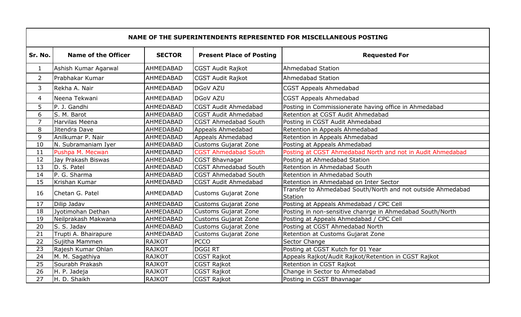|                 | NAME OF THE SUPERINTENDENTS REPRESENTED FOR MISCELLANEOUS POSTING |                  |                                 |                                                                        |  |  |
|-----------------|-------------------------------------------------------------------|------------------|---------------------------------|------------------------------------------------------------------------|--|--|
| Sr. No.         | <b>Name of the Officer</b>                                        | <b>SECTOR</b>    | <b>Present Place of Posting</b> | <b>Requested For</b>                                                   |  |  |
| $\mathbf{1}$    | Ashish Kumar Agarwal                                              | AHMEDABAD        | <b>CGST Audit Rajkot</b>        | Ahmedabad Station                                                      |  |  |
| $\overline{2}$  | Prabhakar Kumar                                                   | <b>AHMEDABAD</b> | <b>CGST Audit Rajkot</b>        | Ahmedabad Station                                                      |  |  |
| 3               | Rekha A. Nair                                                     | <b>AHMEDABAD</b> | <b>DGoV AZU</b>                 | <b>CGST Appeals Ahmedabad</b>                                          |  |  |
| 4               | Neena Tekwani                                                     | AHMEDABAD        | <b>DGoV AZU</b>                 | <b>CGST Appeals Ahmedabad</b>                                          |  |  |
| 5               | P. J. Gandhi                                                      | AHMEDABAD        | <b>CGST Audit Ahmedabad</b>     | Posting in Commissionerate having office in Ahmedabad                  |  |  |
| 6               | S. M. Barot                                                       | AHMEDABAD        | <b>CGST Audit Ahmedabad</b>     | Retention at CGST Audit Ahmedabad                                      |  |  |
| $\overline{7}$  | Harvilas Meena                                                    | AHMEDABAD        | <b>CGST Ahmedabad South</b>     | Posting in CGST Audit Ahmedabad                                        |  |  |
| 8               | Jitendra Dave                                                     | <b>AHMEDABAD</b> | Appeals Ahmedabad               | Retention in Appeals Ahmedabad                                         |  |  |
| 9               | Anilkumar P. Nair                                                 | AHMEDABAD        | Appeals Ahmedabad               | Retention in Appeals Ahmedabad                                         |  |  |
| 10              | N. Subramaniam Iyer                                               | <b>AHMEDABAD</b> | Customs Gujarat Zone            | Posting at Appeals Ahmedabad                                           |  |  |
| 11              | Pushpa M. Mecwan                                                  | AHMEDABAD        | CGST Ahmedabad South            | Posting at CGST Ahmedabad North and not in Audit Ahmedabad             |  |  |
| 12              | Jay Prakash Biswas                                                | AHMEDABAD        | <b>CGST Bhavnagar</b>           | Posting at Ahmedabad Station                                           |  |  |
| 13              | D. S. Patel                                                       | <b>AHMEDABAD</b> | <b>CGST Ahmedabad South</b>     | Retention in Ahmedabad South                                           |  |  |
| 14              | P. G. Sharma                                                      | AHMEDABAD        | <b>CGST Ahmedabad South</b>     | Retention in Ahmedabad South                                           |  |  |
| 15              | Krishan Kumar                                                     | AHMEDABAD        | <b>CGST Audit Ahmedabad</b>     | Retention in Ahmedabad on Inter Sector                                 |  |  |
| 16              | Chetan G. Patel                                                   | <b>AHMEDABAD</b> | <b>Customs Gujarat Zone</b>     | Transfer to Ahmedabad South/North and not outside Ahmedabad<br>Station |  |  |
| 17              | Dilip Jadav                                                       | <b>AHMEDABAD</b> | <b>Customs Gujarat Zone</b>     | Posting at Appeals Ahmedabad / CPC Cell                                |  |  |
| 18              | Jyotimohan Dethan                                                 | AHMEDABAD        | Customs Gujarat Zone            | Posting in non-sensitive chanrge in Ahmedabad South/North              |  |  |
| 19              | Neilprakash Makwana                                               | AHMEDABAD        | <b>Customs Gujarat Zone</b>     | Posting at Appeals Ahmedabad / CPC Cell                                |  |  |
| 20              | S. S. Jadav                                                       | <b>AHMEDABAD</b> | <b>Customs Gujarat Zone</b>     | Posting at CGST Ahmedabad North                                        |  |  |
| 21              | Trupti A. Bhairapure                                              | AHMEDABAD        | <b>Customs Gujarat Zone</b>     | Retention at Customs Gujarat Zone                                      |  |  |
| 22              | Sujitha Mammen                                                    | <b>RAJKOT</b>    | <b>PCCO</b>                     | Sector Change                                                          |  |  |
| 23              | Rajesh Kumar Ohlan                                                | <b>RAJKOT</b>    | <b>DGGIRT</b>                   | Posting at CGST Kutch for 01 Year                                      |  |  |
| 24              | M. M. Sagathiya                                                   | <b>RAJKOT</b>    | <b>CGST Rajkot</b>              | Appeals Rajkot/Audit Rajkot/Retention in CGST Rajkot                   |  |  |
| 25              | Sourabh Prakash                                                   | <b>RAJKOT</b>    | <b>CGST Rajkot</b>              | Retention in CGST Rajkot                                               |  |  |
| 26              | H. P. Jadeja                                                      | <b>RAJKOT</b>    | <b>CGST Rajkot</b>              | Change in Sector to Ahmedabad                                          |  |  |
| $\overline{27}$ | H. D. Shaikh                                                      | <b>RAJKOT</b>    | CGST Rajkot                     | Posting in CGST Bhavnagar                                              |  |  |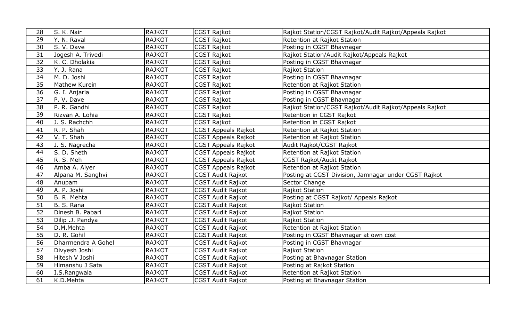| 28 | S. K. Nair         | <b>RAJKOT</b> | CGST Rajkot                | Rajkot Station/CGST Rajkot/Audit Rajkot/Appeals Rajkot |
|----|--------------------|---------------|----------------------------|--------------------------------------------------------|
| 29 | Y. N. Raval        | <b>RAJKOT</b> | <b>CGST Rajkot</b>         | Retention at Rajkot Station                            |
| 30 | S. V. Dave         | <b>RAJKOT</b> | <b>CGST Rajkot</b>         | Posting in CGST Bhavnagar                              |
| 31 | Jogesh A. Trivedi  | <b>RAJKOT</b> | <b>CGST Rajkot</b>         | Rajkot Station/Audit Rajkot/Appeals Rajkot             |
| 32 | K. C. Dholakia     | <b>RAJKOT</b> | <b>CGST Rajkot</b>         | Posting in CGST Bhavnagar                              |
| 33 | Y. J. Rana         | <b>RAJKOT</b> | <b>CGST Rajkot</b>         | Rajkot Station                                         |
| 34 | M. D. Joshi        | <b>RAJKOT</b> | CGST Rajkot                | Posting in CGST Bhavnagar                              |
| 35 | Mathew Kurein      | <b>RAJKOT</b> | <b>CGST Rajkot</b>         | Retention at Rajkot Station                            |
| 36 | G. I. Anjaria      | <b>RAJKOT</b> | <b>CGST Rajkot</b>         | Posting in CGST Bhavnagar                              |
| 37 | P. V. Dave         | <b>RAJKOT</b> | <b>CGST Rajkot</b>         | Posting in CGST Bhavnagar                              |
| 38 | P. R. Gandhi       | <b>RAJKOT</b> | <b>CGST Rajkot</b>         | Rajkot Station/CGST Rajkot/Audit Rajkot/Appeals Rajkot |
| 39 | Rizvan A. Lohia    | <b>RAJKOT</b> | <b>CGST Rajkot</b>         | Retention in CGST Rajkot                               |
| 40 | J. S. Rachchh      | <b>RAJKOT</b> | <b>CGST Rajkot</b>         | Retention in CGST Rajkot                               |
| 41 | R. P. Shah         | <b>RAJKOT</b> | <b>CGST Appeals Rajkot</b> | Retention at Rajkot Station                            |
| 42 | V. T. Shah         | <b>RAJKOT</b> | <b>CGST Appeals Rajkot</b> | Retention at Rajkot Station                            |
| 43 | J. S. Nagrecha     | <b>RAJKOT</b> | <b>CGST Appeals Rajkot</b> | Audit Rajkot/CGST Rajkot                               |
| 44 | S. D. Sheth        | <b>RAJKOT</b> | CGST Appeals Rajkot        | Retention at Rajkot Station                            |
| 45 | R. S. Meh          | <b>RAJKOT</b> | <b>CGST Appeals Rajkot</b> | CGST Rajkot/Audit Rajkot                               |
| 46 | Amba A. Aiyer      | <b>RAJKOT</b> | CGST Appeals Rajkot        | Retention at Rajkot Station                            |
| 47 | Alpana M. Sanghvi  | <b>RAJKOT</b> | <b>CGST Audit Rajkot</b>   | Posting at CGST Division, Jamnagar under CGST Rajkot   |
| 48 | Anupam             | <b>RAJKOT</b> | <b>CGST Audit Rajkot</b>   | Sector Change                                          |
| 49 | A. P. Joshi        | <b>RAJKOT</b> | <b>CGST Audit Rajkot</b>   | Rajkot Station                                         |
| 50 | B. R. Mehta        | <b>RAJKOT</b> | <b>CGST Audit Rajkot</b>   | Posting at CGST Rajkot/ Appeals Rajkot                 |
| 51 | B. S. Rana         | <b>RAJKOT</b> | <b>CGST Audit Rajkot</b>   | Rajkot Station                                         |
| 52 | Dinesh B. Pabari   | <b>RAJKOT</b> | <b>CGST Audit Rajkot</b>   | Rajkot Station                                         |
| 53 | Dilip .J. Pandya   | <b>RAJKOT</b> | <b>CGST Audit Rajkot</b>   | Rajkot Station                                         |
| 54 | D.M.Mehta          | <b>RAJKOT</b> | <b>CGST Audit Rajkot</b>   | Retention at Rajkot Station                            |
| 55 | D. R. Gohil        | <b>RAJKOT</b> | <b>CGST Audit Rajkot</b>   | Posting in CGST Bhavnagar at own cost                  |
| 56 | Dharmendra A Gohel | <b>RAJKOT</b> | <b>CGST Audit Rajkot</b>   | Posting in CGST Bhavnagar                              |
| 57 | Divyesh Joshi      | <b>RAJKOT</b> | <b>CGST Audit Rajkot</b>   | Rajkot Station                                         |
| 58 | Hitesh V Joshi     | <b>RAJKOT</b> | <b>CGST Audit Rajkot</b>   | Posting at Bhavnagar Station                           |
| 59 | Himanshu J Sata    | <b>RAJKOT</b> | <b>CGST Audit Rajkot</b>   | Posting at Rajkot Station                              |
| 60 | I.S.Rangwala       | <b>RAJKOT</b> | <b>CGST Audit Rajkot</b>   | Retention at Rajkot Station                            |
| 61 | K.D.Mehta          | <b>RAJKOT</b> | <b>CGST Audit Rajkot</b>   | Posting at Bhavnagar Station                           |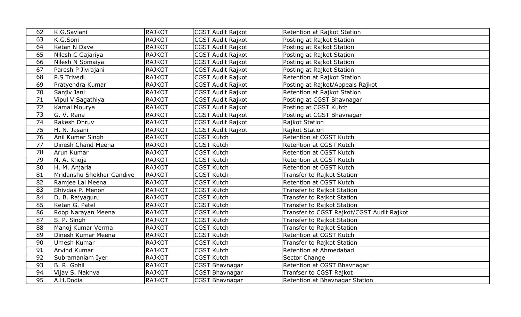| 62              | K.G.Savlani               | <b>RAJKOT</b> | CGST Audit Rajkot        | Retention at Rajkot Station               |
|-----------------|---------------------------|---------------|--------------------------|-------------------------------------------|
| 63              | K.G.Soni                  | <b>RAJKOT</b> | <b>CGST Audit Rajkot</b> | Posting at Rajkot Station                 |
| 64              | Ketan N Dave              | <b>RAJKOT</b> | CGST Audit Rajkot        | Posting at Rajkot Station                 |
| 65              | Nilesh C Gajariya         | <b>RAJKOT</b> | <b>CGST Audit Rajkot</b> | Posting at Rajkot Station                 |
| 66              | Nilesh N Somaiya          | <b>RAJKOT</b> | <b>CGST Audit Rajkot</b> | Posting at Rajkot Station                 |
| 67              | Paresh P Jivrajani        | <b>RAJKOT</b> | <b>CGST Audit Rajkot</b> | Posting at Rajkot Station                 |
| 68              | P.S Trivedi               | <b>RAJKOT</b> | <b>CGST Audit Rajkot</b> | Retention at Rajkot Station               |
| 69              | Pratyendra Kumar          | <b>RAJKOT</b> | CGST Audit Rajkot        | Posting at Rajkot/Appeals Rajkot          |
| 70              | Sanjiv Jani               | <b>RAJKOT</b> | <b>CGST Audit Rajkot</b> | Retention at Rajkot Station               |
| $\overline{71}$ | Vipul V Sagathiya         | <b>RAJKOT</b> | <b>CGST Audit Rajkot</b> | Posting at CGST Bhavnagar                 |
| 72              | Kamal Mourya              | <b>RAJKOT</b> | <b>CGST Audit Rajkot</b> | Posting at CGST Kutch                     |
| 73              | G. V. Rana                | <b>RAJKOT</b> | CGST Audit Rajkot        | Posting at CGST Bhavnagar                 |
| 74              | Rakesh Dhruv              | <b>RAJKOT</b> | CGST Audit Rajkot        | Rajkot Station                            |
| 75              | H. N. Jasani              | <b>RAJKOT</b> | <b>CGST Audit Rajkot</b> | Rajkot Station                            |
| 76              | Anil Kumar Singh          | <b>RAJKOT</b> | <b>CGST Kutch</b>        | Retention at CGST Kutch                   |
| 77              | Dinesh Chand Meena        | <b>RAJKOT</b> | <b>CGST Kutch</b>        | Retention at CGST Kutch                   |
| 78              | Arun Kumar                | <b>RAJKOT</b> | <b>CGST Kutch</b>        | Retention at CGST Kutch                   |
| 79              | N. A. Khoja               | <b>RAJKOT</b> | CGST Kutch               | Retention at CGST Kutch                   |
| 80              | H. M. Anjaria             | <b>RAJKOT</b> | <b>CGST Kutch</b>        | Retention at CGST Kutch                   |
| 81              | Mridanshu Shekhar Gandive | <b>RAJKOT</b> | <b>CGST Kutch</b>        | Transfer to Rajkot Station                |
| 82              | Ramjee Lal Meena          | <b>RAJKOT</b> | <b>CGST Kutch</b>        | Retention at CGST Kutch                   |
| 83              | Shivdas P. Menon          | <b>RAJKOT</b> | <b>CGST Kutch</b>        | Transfer to Rajkot Station                |
| 84              | D. B. Rajyaguru           | <b>RAJKOT</b> | <b>CGST Kutch</b>        | Transfer to Rajkot Station                |
| 85              | Ketan G. Patel            | <b>RAJKOT</b> | <b>CGST Kutch</b>        | Transfer to Rajkot Station                |
| 86              | Roop Narayan Meena        | <b>RAJKOT</b> | <b>CGST Kutch</b>        | Transfer to CGST Rajkot/CGST Audit Rajkot |
| 87              | S. P. Singh               | <b>RAJKOT</b> | <b>CGST Kutch</b>        | Transfer to Rajkot Station                |
| 88              | Manoj Kumar Verma         | <b>RAJKOT</b> | <b>CGST Kutch</b>        | Transfer to Rajkot Station                |
| 89              | Dinesh Kumar Meena        | <b>RAJKOT</b> | CGST Kutch               | Retention at CGST Kutch                   |
| 90              | Umesh Kumar               | <b>RAJKOT</b> | <b>CGST Kutch</b>        | Transfer to Rajkot Station                |
| 91              | Arvind Kumar              | <b>RAJKOT</b> | <b>CGST Kutch</b>        | Retention at Ahmedabad                    |
| 92              | Subramaniam Iyer          | <b>RAJKOT</b> | <b>CGST Kutch</b>        | Sector Change                             |
| 93              | B. R. Gohil               | <b>RAJKOT</b> | CGST Bhavnagar           | Retention at CGST Bhavnagar               |
| 94              | Vijay S. Nakhva           | <b>RAJKOT</b> | <b>CGST Bhavnagar</b>    | Tranfser to CGST Rajkot                   |
| 95              | A.H.Dodia                 | <b>RAJKOT</b> | <b>CGST Bhavnagar</b>    | Retention at Bhavnagar Station            |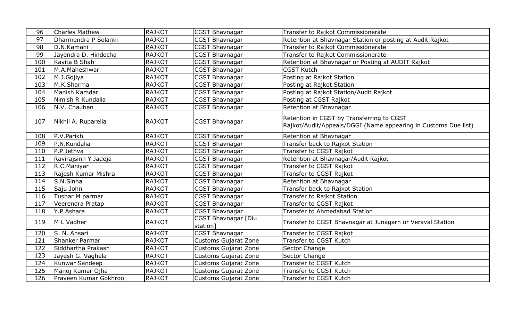| 96  | <b>Charles Mathew</b> | <b>RAJKOT</b> | <b>CGST Bhavnagar</b>           | Transfer to Rajkot Commissionerate                                                                          |
|-----|-----------------------|---------------|---------------------------------|-------------------------------------------------------------------------------------------------------------|
| 97  | Dharmendra P Solanki  | <b>RAJKOT</b> | <b>CGST Bhavnagar</b>           | Retention at Bhavnagar Station or posting at Audit Rajkot                                                   |
| 98  | D.N.Kamani            | <b>RAJKOT</b> | <b>CGST Bhavnagar</b>           | Transfer to Rajkot Commissionerate                                                                          |
| 99  | Jayendra D. Hindocha  | <b>RAJKOT</b> | <b>CGST Bhavnagar</b>           | Transfer to Rajkot Commissionerate                                                                          |
| 100 | Kavita B Shah         | <b>RAJKOT</b> | <b>CGST Bhavnagar</b>           | Retention at Bhavnagar or Posting at AUDIT Rajkot                                                           |
| 101 | M.A.Maheshwari        | <b>RAJKOT</b> | <b>CGST Bhavnagar</b>           | <b>CGST Kutch</b>                                                                                           |
| 102 | M.J.Gojiya            | <b>RAJKOT</b> | <b>CGST Bhavnagar</b>           | Posting at Rajkot Station                                                                                   |
| 103 | M.K.Sharma            | <b>RAJKOT</b> | <b>CGST Bhavnagar</b>           | Posting at Rajkot Station                                                                                   |
| 104 | Manish Kamdar         | <b>RAJKOT</b> | <b>CGST Bhavnagar</b>           | Posting at Rajkot Station/Audit Rajkot                                                                      |
| 105 | Nimish R Kundalia     | <b>RAJKOT</b> | <b>CGST Bhavnagar</b>           | Posting at CGST Rajkot                                                                                      |
| 106 | N.V. Chauhan          | <b>RAJKOT</b> | <b>CGST Bhavnagar</b>           | Retention at Bhavnagar                                                                                      |
| 107 | Nikhil A. Ruparelia   | <b>RAJKOT</b> | <b>CGST Bhavnagar</b>           | Retention in CGST by Transferring to CGST<br>Rajkot/Audit/Appeals/DGGI (Name appearing in Customs Due list) |
| 108 | P.V.Parikh            | <b>RAJKOT</b> | <b>CGST Bhavnagar</b>           | Retention at Bhavnagar                                                                                      |
| 109 | P.N.Kundalia          | <b>RAJKOT</b> | <b>CGST Bhavnagar</b>           | Transfer back to Rajkot Station                                                                             |
| 110 | P.P.Jethva            | <b>RAJKOT</b> | <b>CGST Bhavnagar</b>           | Transfer to CGST Rajkot                                                                                     |
| 111 | Ravirajsinh Y Jadeja  | <b>RAJKOT</b> | <b>CGST Bhavnagar</b>           | Retention at Bhavnagar/Audit Rajkot                                                                         |
| 112 | R.C.Maniyar           | <b>RAJKOT</b> | <b>CGST Bhavnagar</b>           | Transfer to CGST Rajkot                                                                                     |
| 113 | Rajesh Kumar Mishra   | <b>RAJKOT</b> | <b>CGST Bhavnagar</b>           | Transfer to CGST Rajkot                                                                                     |
| 114 | S.N.Sinha             | <b>RAJKOT</b> | <b>CGST Bhavnagar</b>           | Retention at Bhavnagar                                                                                      |
| 115 | Saju John             | <b>RAJKOT</b> | <b>CGST Bhavnagar</b>           | Transfer back to Rajkot Station                                                                             |
| 116 | Tushar M parmar       | <b>RAJKOT</b> | CGST Bhavnagar                  | Transfer to Rajkot Station                                                                                  |
| 117 | Veerendra Pratap      | <b>RAJKOT</b> | CGST Bhavnagar                  | Transfer to CGST Rajkot                                                                                     |
| 118 | Y.P.Ashara            | <b>RAJKOT</b> | CGST Bhavnagar                  | <b>Transfer to Ahmedabad Station</b>                                                                        |
| 119 | M L Vadher            | <b>RAJKOT</b> | CGST Bhavnagar [Diu<br>station1 | Transfer to CGST Bhavnagar at Junagarh or Veraval Station                                                   |
| 120 | S. N. Ansari          | <b>RAJKOT</b> | CGST Bhavnagar                  | Transfer to CGST Rajkot                                                                                     |
| 121 | Shanker Parmar        | <b>RAJKOT</b> | <b>Customs Gujarat Zone</b>     | Transfer to CGST Kutch                                                                                      |
| 122 | Siddhartha Prakash    | <b>RAJKOT</b> | <b>Customs Gujarat Zone</b>     | Sector Change                                                                                               |
| 123 | Jayesh G. Vaghela     | <b>RAJKOT</b> | <b>Customs Gujarat Zone</b>     | Sector Change                                                                                               |
| 124 | Kunwar Sandeep        | <b>RAJKOT</b> | <b>Customs Gujarat Zone</b>     | Transfer to CGST Kutch                                                                                      |
| 125 | Manoj Kumar Ojha      | <b>RAJKOT</b> | <b>Customs Gujarat Zone</b>     | Transfer to CGST Kutch                                                                                      |
| 126 | Praveen Kumar Gokhroo | <b>RAJKOT</b> | <b>Customs Gujarat Zone</b>     | Transfer to CGST Kutch                                                                                      |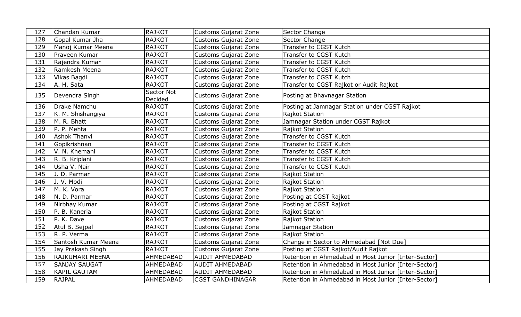| 127 | Chandan Kumar        | <b>RAJKOT</b>         | <b>Customs Gujarat Zone</b> | Sector Change                                        |
|-----|----------------------|-----------------------|-----------------------------|------------------------------------------------------|
| 128 | Gopal Kumar Jha      | <b>RAJKOT</b>         | <b>Customs Gujarat Zone</b> | Sector Change                                        |
| 129 | Manoj Kumar Meena    | <b>RAJKOT</b>         | <b>Customs Gujarat Zone</b> | Transfer to CGST Kutch                               |
| 130 | Praveen Kumar        | <b>RAJKOT</b>         | <b>Customs Gujarat Zone</b> | Transfer to CGST Kutch                               |
| 131 | Rajendra Kumar       | <b>RAJKOT</b>         | <b>Customs Gujarat Zone</b> | Transfer to CGST Kutch                               |
| 132 | Ramkesh Meena        | <b>RAJKOT</b>         | <b>Customs Gujarat Zone</b> | Transfer to CGST Kutch                               |
| 133 | Vikas Bagdi          | <b>RAJKOT</b>         | <b>Customs Gujarat Zone</b> | Transfer to CGST Kutch                               |
| 134 | A. H. Sata           | <b>RAJKOT</b>         | <b>Customs Gujarat Zone</b> | Transfer to CGST Rajkot or Audit Rajkot              |
| 135 | Devendra Singh       | Sector Not<br>Decided | <b>Customs Gujarat Zone</b> | Posting at Bhavnagar Station                         |
| 136 | Drake Namchu         | RAJKOT                | <b>Customs Gujarat Zone</b> | Posting at Jamnagar Station under CGST Rajkot        |
| 137 | K. M. Shishangiya    | <b>RAJKOT</b>         | <b>Customs Gujarat Zone</b> | Rajkot Station                                       |
| 138 | M. R. Bhatt          | <b>RAJKOT</b>         | <b>Customs Gujarat Zone</b> | Jamnagar Station under CGST Rajkot                   |
| 139 | P. P. Mehta          | <b>RAJKOT</b>         | <b>Customs Gujarat Zone</b> | Rajkot Station                                       |
| 140 | <b>Ashok Thanvi</b>  | <b>RAJKOT</b>         | <b>Customs Gujarat Zone</b> | Transfer to CGST Kutch                               |
| 141 | Gopikrishnan         | <b>RAJKOT</b>         | <b>Customs Gujarat Zone</b> | Transfer to CGST Kutch                               |
| 142 | V. N. Khemani        | <b>RAJKOT</b>         | <b>Customs Gujarat Zone</b> | Transfer to CGST Kutch                               |
| 143 | R. B. Kriplani       | <b>RAJKOT</b>         | <b>Customs Gujarat Zone</b> | Transfer to CGST Kutch                               |
| 144 | Usha V. Nair         | <b>RAJKOT</b>         | <b>Customs Gujarat Zone</b> | Transfer to CGST Kutch                               |
| 145 | J. D. Parmar         | <b>RAJKOT</b>         | <b>Customs Gujarat Zone</b> | Rajkot Station                                       |
| 146 | J. V. Modi           | <b>RAJKOT</b>         | <b>Customs Gujarat Zone</b> | Rajkot Station                                       |
| 147 | M. K. Vora           | <b>RAJKOT</b>         | <b>Customs Gujarat Zone</b> | Rajkot Station                                       |
| 148 | N. D. Parmar         | <b>RAJKOT</b>         | <b>Customs Gujarat Zone</b> | Posting at CGST Rajkot                               |
| 149 | Nirbhay Kumar        | <b>RAJKOT</b>         | <b>Customs Gujarat Zone</b> | Posting at CGST Rajkot                               |
| 150 | P. B. Kaneria        | <b>RAJKOT</b>         | <b>Customs Gujarat Zone</b> | Rajkot Station                                       |
| 151 | P. K. Dave           | <b>RAJKOT</b>         | <b>Customs Gujarat Zone</b> | Rajkot Station                                       |
| 152 | Atul B. Sejpal       | <b>RAJKOT</b>         | <b>Customs Gujarat Zone</b> | Jamnagar Station                                     |
| 153 | R. P. Verma          | <b>RAJKOT</b>         | <b>Customs Gujarat Zone</b> | Rajkot Station                                       |
| 154 | Santosh Kumar Meena  | <b>RAJKOT</b>         | <b>Customs Gujarat Zone</b> | Change in Sector to Ahmedabad [Not Due]              |
| 155 | Jay Prakash Singh    | <b>RAJKOT</b>         | <b>Customs Gujarat Zone</b> | Posting at CGST Rajkot/Audit Rajkot                  |
| 156 | RAJKUMARI MEENA      | <b>AHMEDABAD</b>      | <b>AUDIT AHMEDABAD</b>      | Retention in Ahmedabad in Most Junior [Inter-Sector] |
| 157 | <b>SANJAY SAUGAT</b> | AHMEDABAD             | <b>AUDIT AHMEDABAD</b>      | Retention in Ahmedabad in Most Junior [Inter-Sector] |
| 158 | <b>KAPIL GAUTAM</b>  | <b>AHMEDABAD</b>      | <b>AUDIT AHMEDABAD</b>      | Retention in Ahmedabad in Most Junior [Inter-Sector] |
| 159 | <b>RAJPAL</b>        | AHMEDABAD             | <b>CGST GANDHINAGAR</b>     | Retention in Ahmedabad in Most Junior [Inter-Sector] |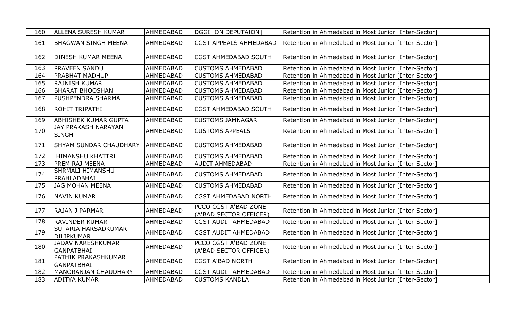| 160 | <b>ALLENA SURESH KUMAR</b>                    | <b>AHMEDABAD</b> | DGGI [ON DEPUTAION]                            | Retention in Ahmedabad in Most Junior [Inter-Sector] |
|-----|-----------------------------------------------|------------------|------------------------------------------------|------------------------------------------------------|
| 161 | <b>BHAGWAN SINGH MEENA</b>                    | <b>AHMEDABAD</b> | <b>CGST APPEALS AHMEDABAD</b>                  | Retention in Ahmedabad in Most Junior [Inter-Sector] |
| 162 | DINESH KUMAR MEENA                            | <b>AHMEDABAD</b> | <b>CGST AHMEDABAD SOUTH</b>                    | Retention in Ahmedabad in Most Junior [Inter-Sector] |
| 163 | PRAVEEN SANDU                                 | AHMEDABAD        | <b>CUSTOMS AHMEDABAD</b>                       | Retention in Ahmedabad in Most Junior [Inter-Sector] |
| 164 | PRABHAT MADHUP                                | <b>AHMEDABAD</b> | <b>CUSTOMS AHMEDABAD</b>                       | Retention in Ahmedabad in Most Junior [Inter-Sector] |
| 165 | RAJNISH KUMAR                                 | AHMEDABAD        | <b>CUSTOMS AHMEDABAD</b>                       | Retention in Ahmedabad in Most Junior [Inter-Sector] |
| 166 | <b>BHARAT BHOOSHAN</b>                        | <b>AHMEDABAD</b> | <b>CUSTOMS AHMEDABAD</b>                       | Retention in Ahmedabad in Most Junior [Inter-Sector] |
| 167 | PUSHPENDRA SHARMA                             | AHMEDABAD        | <b>CUSTOMS AHMEDABAD</b>                       | Retention in Ahmedabad in Most Junior [Inter-Sector] |
| 168 | <b>ROHIT TRIPATHI</b>                         | AHMEDABAD        | <b>CGST AHMEDABAD SOUTH</b>                    | Retention in Ahmedabad in Most Junior [Inter-Sector] |
| 169 | ABHISHEK KUMAR GUPTA                          | <b>AHMEDABAD</b> | <b>CUSTOMS JAMNAGAR</b>                        | Retention in Ahmedabad in Most Junior [Inter-Sector] |
| 170 | JAY PRAKASH NARAYAN<br><b>SINGH</b>           | <b>AHMEDABAD</b> | <b>CUSTOMS APPEALS</b>                         | Retention in Ahmedabad in Most Junior [Inter-Sector] |
| 171 | <b>SHYAM SUNDAR CHAUDHARY</b>                 | <b>AHMEDABAD</b> | <b>CUSTOMS AHMEDABAD</b>                       | Retention in Ahmedabad in Most Junior [Inter-Sector] |
| 172 | HIMANSHU KHATTRI                              | <b>AHMEDABAD</b> | <b>CUSTOMS AHMEDABAD</b>                       | Retention in Ahmedabad in Most Junior [Inter-Sector] |
| 173 | PREM RAJ MEENA                                | AHMEDABAD        | <b>AUDIT AHMEDABAD</b>                         | Retention in Ahmedabad in Most Junior [Inter-Sector] |
| 174 | SHRMALI HIMANSHU<br>PRAHLADBHAI               | AHMEDABAD        | <b>CUSTOMS AHMEDABAD</b>                       | Retention in Ahmedabad in Most Junior [Inter-Sector] |
| 175 | <b>JAG MOHAN MEENA</b>                        | AHMEDABAD        | <b>CUSTOMS AHMEDABAD</b>                       | Retention in Ahmedabad in Most Junior [Inter-Sector] |
| 176 | <b>NAVIN KUMAR</b>                            | <b>AHMEDABAD</b> | <b>CGST AHMEDABAD NORTH</b>                    | Retention in Ahmedabad in Most Junior [Inter-Sector] |
| 177 | <b>RAJAN J PARMAR</b>                         | AHMEDABAD        | PCCO CGST A'BAD ZONE<br>(A'BAD SECTOR OFFICER) | Retention in Ahmedabad in Most Junior [Inter-Sector] |
| 178 | RAVINDER KUMAR                                | AHMEDABAD        | <b>CGST AUDIT AHMEDABAD</b>                    | Retention in Ahmedabad in Most Junior [Inter-Sector] |
| 179 | SUTARIA HARSADKUMAR<br><b>DILIPKUMAR</b>      | AHMEDABAD        | <b>CGST AUDIT AHMEDABAD</b>                    | Retention in Ahmedabad in Most Junior [Inter-Sector] |
| 180 | <b>JADAV NARESHKUMAR</b><br><b>GANPATBHAI</b> | AHMEDABAD        | PCCO CGST A'BAD ZONE<br>(A'BAD SECTOR OFFICER) | Retention in Ahmedabad in Most Junior [Inter-Sector] |
| 181 | PATHIK PRAKASHKUMAR<br><b>GANPATBHAI</b>      | AHMEDABAD        | <b>CGST A'BAD NORTH</b>                        | Retention in Ahmedabad in Most Junior [Inter-Sector] |
| 182 | MANORANJAN CHAUDHARY                          | AHMEDABAD        | <b>CGST AUDIT AHMEDABAD</b>                    | Retention in Ahmedabad in Most Junior [Inter-Sector] |
| 183 | ADITYA KUMAR                                  | AHMEDABAD        | <b>CUSTOMS KANDLA</b>                          | Retention in Ahmedabad in Most Junior [Inter-Sector] |